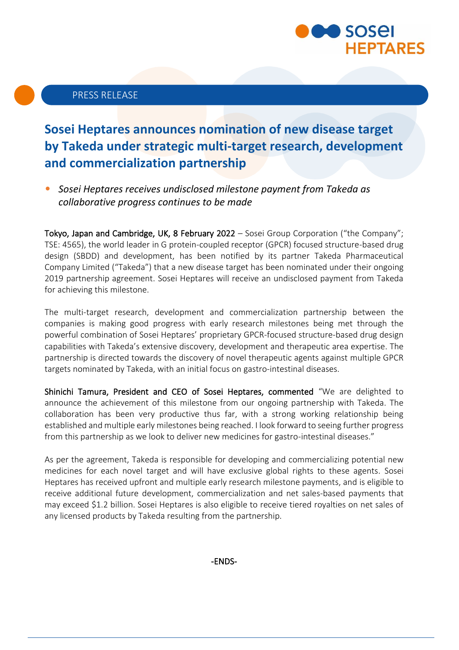

# PRESS RELEASE

# **Sosei Heptares announces nomination of new disease target by Takeda under strategic multi-target research, development and commercialization partnership**

• *Sosei Heptares receives undisclosed milestone payment from Takeda as collaborative progress continues to be made* 

Tokyo, Japan and Cambridge, UK, 8 February 2022 – Sosei Group Corporation ("the Company"; TSE: 4565), the world leader in G protein-coupled receptor (GPCR) focused structure-based drug design (SBDD) and development, has been notified by its partner Takeda Pharmaceutical Company Limited ("Takeda") that a new disease target has been nominated under their ongoing 2019 partnership agreement. Sosei Heptares will receive an undisclosed payment from Takeda for achieving this milestone.

The multi-target research, development and commercialization partnership between the companies is making good progress with early research milestones being met through the powerful combination of Sosei Heptares' proprietary GPCR-focused structure-based drug design capabilities with Takeda's extensive discovery, development and therapeutic area expertise. The partnership is directed towards the discovery of novel therapeutic agents against multiple GPCR targets nominated by Takeda, with an initial focus on gastro-intestinal diseases.

Shinichi Tamura, President and CEO of Sosei Heptares, commented "We are delighted to announce the achievement of this milestone from our ongoing partnership with Takeda. The collaboration has been very productive thus far, with a strong working relationship being established and multiple early milestones being reached. I look forward to seeing further progress from this partnership as we look to deliver new medicines for gastro-intestinal diseases."

As per the agreement, Takeda is responsible for developing and commercializing potential new medicines for each novel target and will have exclusive global rights to these agents. Sosei Heptares has received upfront and multiple early research milestone payments, and is eligible to receive additional future development, commercialization and net sales-based payments that may exceed \$1.2 billion. Sosei Heptares is also eligible to receive tiered royalties on net sales of any licensed products by Takeda resulting from the partnership.

-ENDS-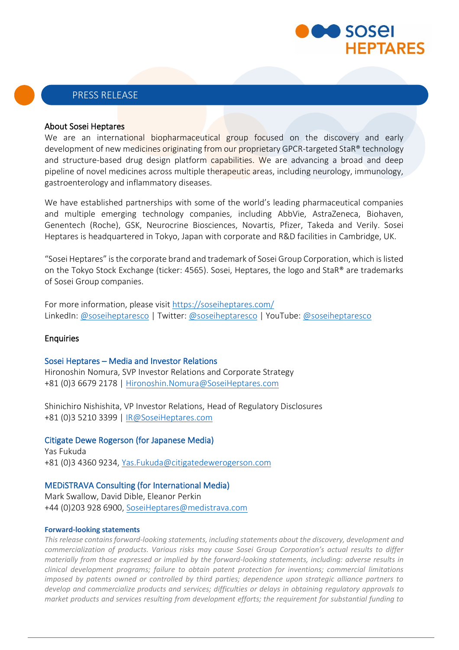

### PRESS RELEASE

#### About Sosei Heptares

We are an international biopharmaceutical group focused on the discovery and early development of new medicines originating from our proprietary GPCR-targeted StaR® technology and structure-based drug design platform capabilities. We are advancing a broad and deep pipeline of novel medicines across multiple therapeutic areas, including neurology, immunology, gastroenterology and inflammatory diseases.

We have established partnerships with some of the world's leading pharmaceutical companies and multiple emerging technology companies, including AbbVie, AstraZeneca, Biohaven, Genentech (Roche), GSK, Neurocrine Biosciences, Novartis, Pfizer, Takeda and Verily. Sosei Heptares is headquartered in Tokyo, Japan with corporate and R&D facilities in Cambridge, UK.

"Sosei Heptares" is the corporate brand and trademark of Sosei Group Corporation, which is listed on the Tokyo Stock Exchange (ticker: 4565). Sosei, Heptares, the logo and StaR® are trademarks of Sosei Group companies.

For more information, please visit<https://soseiheptares.com/> LinkedIn: [@soseiheptaresco](https://www.youtube.com/channel/UCVIItbR5X7eoIwbgVrsR-dg) | Twitter[: @soseiheptaresco](https://twitter.com/soseiheptaresco) | YouTube: @soseiheptaresco

#### Enquiries

#### Sosei Heptares – Media and Investor Relations

Hironoshin Nomura, SVP Investor Relations and Corporate Strategy +81 (0)3 6679 2178 | [Hironoshin.Nomura@SoseiHeptares.com](mailto:Hironoshin.Nomura@SoseiHeptares.com)

Shinichiro Nishishita, VP Investor Relations, Head of Regulatory Disclosures +81 (0)3 5210 3399 | [IR@SoseiHeptares.com](mailto:IR@SoseiHeptares.com)

#### Citigate Dewe Rogerson (for Japanese Media)

Yas Fukuda +81 (0)3 4360 9234[, Yas.Fukuda@citigatedewerogerson.com](mailto:Yas.Fukuda@citigatedewerogerson.com)

#### MEDiSTRAVA Consulting (for International Media)

Mark Swallow, David Dible, Eleanor Perkin +44 (0)203 928 6900, [SoseiHeptares@medistrava.com](mailto:SoseiHeptares@medistrava.com)

#### **Forward-looking statements**

*This release contains forward-looking statements, including statements about the discovery, development and commercialization of products. Various risks may cause Sosei Group Corporation's actual results to differ materially from those expressed or implied by the forward-looking statements, including: adverse results in clinical development programs; failure to obtain patent protection for inventions; commercial limitations imposed by patents owned or controlled by third parties; dependence upon strategic alliance partners to develop and commercialize products and services; difficulties or delays in obtaining regulatory approvals to market products and services resulting from development efforts; the requirement for substantial funding to*